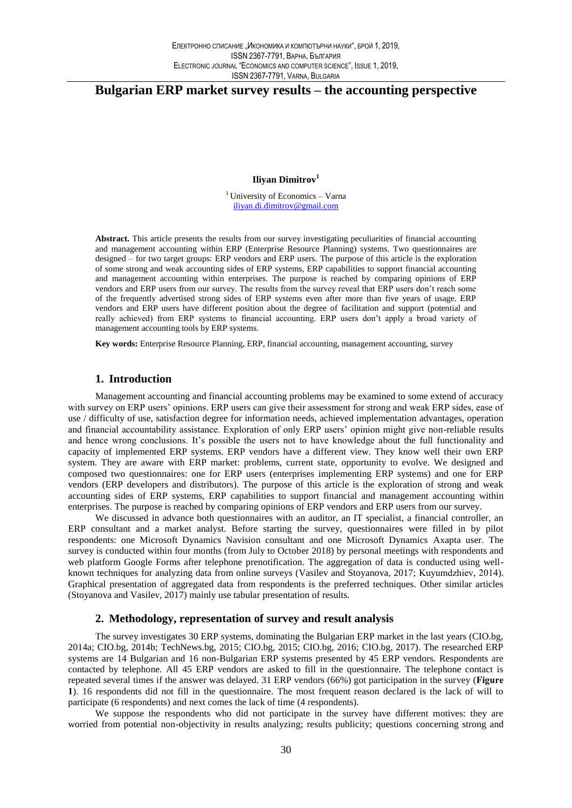# Bulgarian ERP market survey results – the accounting perspective

Ilivan Dimitrov<sup>1</sup>

<sup>1</sup> University of Economics – Varna iliyan.di.dimitrov@gmail.com

Abstract. This article presents the results from our survey investigating peculiarities of financial accounting and management accounting within ERP (Enterprise Resource Planning) systems. Two questionnaires are designed – for two target groups: ERP vendors and ERP users. The purpose of this article is the exploration of some strong and weak accounting sides of ERP systems, ERP capabilities to support financial accounting and management accounting within enterprises. The purpose is reached by comparing opinions of ERP vendors and ERP users from our survey. The results from the survey reveal that ERP users don't reach some of the frequently advertised strong sides of ERP systems even after more than five years of usage. ERP vendors and ERP users have different position about the degree of facilitation and support (potential and really achieved) from ERP systems to financial accounting. ERP users don't apply a broad variety of management accounting tools by ERP systems.

Key words: Enterprise Resource Planning, ERP, financial accounting, management accounting, survey

# 1. Introduction

Management accounting and financial accounting problems may be examined to some extend of accuracy with survey on ERP users' opinions. ERP users can give their assessment for strong and weak ERP sides, ease of use / difficulty of use, satisfaction degree for information needs, achieved implementation advantages, operation and financial accountability assistance. Exploration of only ERP users' opinion might give non-reliable results and hence wrong conclusions. It's possible the users not to have knowledge about the full functionality and capacity of implemented ERP systems. ERP vendors have a different view. They know well their own ERP system. They are aware with ERP market: problems, current state, opportunity to evolve. We designed and composed two questionnaires: one for ERP users (enterprises implementing ERP systems) and one for ERP vendors (ERP developers and distributors). The purpose of this article is the exploration of strong and weak accounting sides of ERP systems, ERP capabilities to support financial and management accounting within enterprises. The purpose is reached by comparing opinions of ERP vendors and ERP users from our survey.

We discussed in advance both questionnaires with an auditor, an IT specialist, a financial controller, an ERP consultant and a market analyst. Before starting the survey, questionnaires were filled in by pilot respondents: one Microsoft Dynamics Navision consultant and one Microsoft Dynamics Axapta user. The survey is conducted within four months (from July to October 2018) by personal meetings with respondents and web platform Google Forms after telephone prenotification. The aggregation of data is conducted using wellknown techniques for analyzing data from online surveys (Vasilev and Stoyanova, 2017; Kuyumdzhiev, 2014). Graphical presentation of aggregated data from respondents is the preferred techniques. Other similar articles (Stoyanova and Vasilev, 2017) mainly use tabular presentation of results.

### 2. Methodology, representation of survey and result analysis

The survey investigates 30 ERP systems, dominating the Bulgarian ERP market in the last years (CIO.bg, 2014a; CIO.bg, 2014b; TechNews.bg, 2015; CIO.bg, 2015; CIO.bg, 2016; CIO.bg, 2017). The researched ERP systems are 14 Bulgarian and 16 non-Bulgarian ERP systems presented by 45 ERP vendors. Respondents are contacted by telephone. All 45 ERP vendors are asked to fill in the questionnaire. The telephone contact is repeated several times if the answer was delayed. 31 ERP vendors (66%) got participation in the survey (Figure 1). 16 respondents did not fill in the questionnaire. The most frequent reason declared is the lack of will to participate (6 respondents) and next comes the lack of time (4 respondents).

We suppose the respondents who did not participate in the survey have different motives: they are worried from potential non-objectivity in results analyzing; results publicity; questions concerning strong and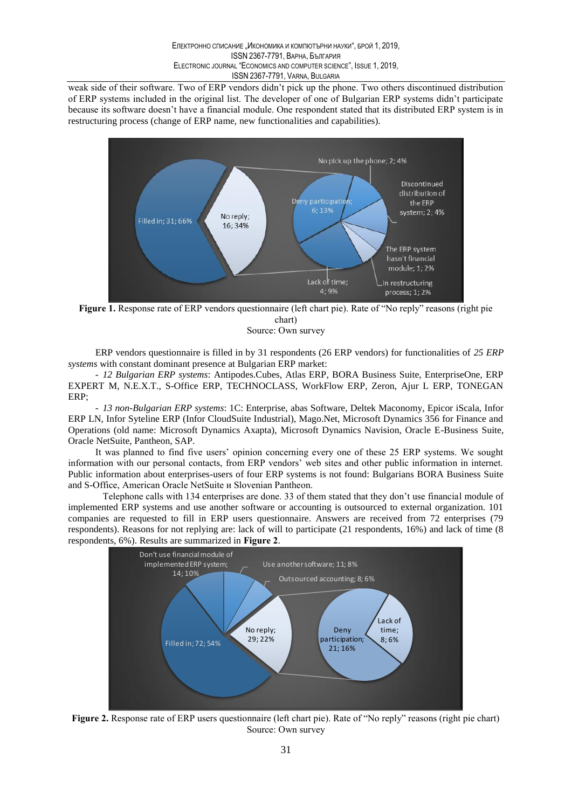weak side of their software. Two of ERP vendors didn't pick up the phone. Two others discontinued distribution of ERP systems included in the original list. The developer of one of Bulgarian ERP systems didn't participate because its software doesn't have a financial module. One respondent stated that its distributed ERP system is in restructuring process (change of ERP name, new functionalities and capabilities).



Figure 1. Response rate of ERP vendors questionnaire (left chart pie). Rate of "No reply" reasons (right pie chart)

Source: Own survey

ERP vendors questionnaire is filled in by 31 respondents (26 ERP vendors) for functionalities of 25 ERP systems with constant dominant presence at Bulgarian ERP market:

- 12 Bulgarian ERP systems: Antipodes.Cubes, Atlas ERP, BORA Business Suite, EnterpriseOne, ERP EXPERT M, N.E.X.T., S-Office ERP, TECHNOCLASS, WorkFlow ERP, Zeron, Ajur L ERP, TONEGAN ERP:

- 13 non-Bulgarian ERP systems: 1C: Enterprise, abas Software, Deltek Maconomy, Epicor iScala, Infor ERP LN, Infor Syteline ERP (Infor CloudSuite Industrial), Mago.Net, Microsoft Dynamics 356 for Finance and Operations (old name: Microsoft Dynamics Axapta), Microsoft Dynamics Navision, Oracle E-Business Suite, Oracle NetSuite, Pantheon, SAP.

It was planned to find five users' opinion concerning every one of these 25 ERP systems. We sought information with our personal contacts, from ERP vendors' web sites and other public information in internet. Public information about enterprises-users of four ERP systems is not found: Bulgarians BORA Business Suite and S-Office, American Oracle NetSuite и Slovenian Pantheon.

Telephone calls with 134 enterprises are done. 33 of them stated that they don't use financial module of implemented ERP systems and use another software or accounting is outsourced to external organization. 101 companies are requested to fill in ERP users questionnaire. Answers are received from 72 enterprises (79 respondents). Reasons for not replying are: lack of will to participate (21 respondents, 16%) and lack of time (8 respondents, 6%). Results are summarized in Figure 2.



Figure 2. Response rate of ERP users questionnaire (left chart pie). Rate of "No reply" reasons (right pie chart) Source: Own survey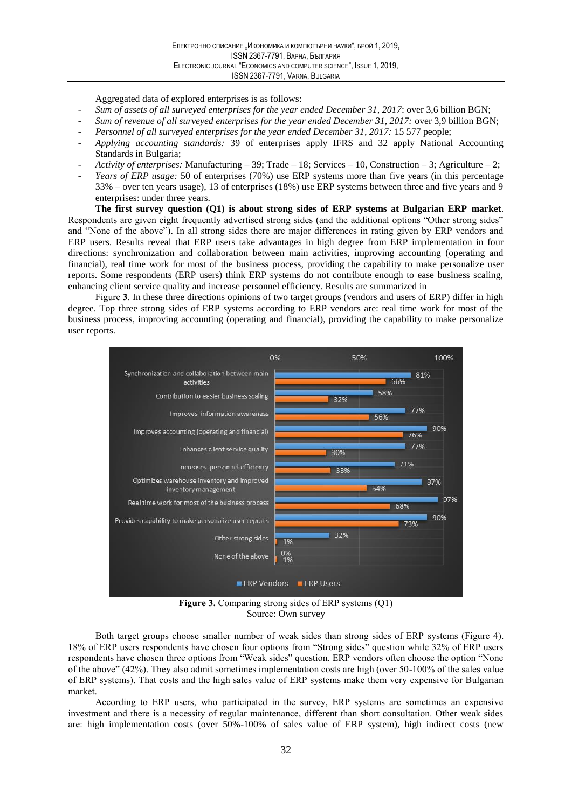Aggregated data of explored enterprises is as follows:

- Sum of assets of all surveyed enterprises for the year ended December 31, 2017: over 3,6 billion BGN;
- Sum of revenue of all surveyed enterprises for the year ended December 31, 2017: over 3,9 billion BGN;
- Personnel of all surveyed enterprises for the year ended December 31, 2017: 15 577 people;
- Applying accounting standards: 39 of enterprises apply IFRS and 32 apply National Accounting Standards in Bulgaria;
- Activity of enterprises: Manufacturing 39; Trade 18; Services 10, Construction 3; Agriculture 2;
- Years of ERP usage: 50 of enterprises (70%) use ERP systems more than five years (in this percentage 33% – over ten years usage), 13 of enterprises (18%) use ERP systems between three and five years and 9 enterprises: under three years.

The first survey question (Q1) is about strong sides of ERP systems at Bulgarian ERP market. Respondents are given eight frequently advertised strong sides (and the additional options "Other strong sides" and "None of the above"). In all strong sides there are major differences in rating given by ERP vendors and ERP users. Results reveal that ERP users take advantages in high degree from ERP implementation in four directions: synchronization and collaboration between main activities, improving accounting (operating and financial), real time work for most of the business process, providing the capability to make personalize user reports. Some respondents (ERP users) think ERP systems do not contribute enough to ease business scaling, enhancing client service quality and increase personnel efficiency. Results are summarized in

Figure 3. In these three directions opinions of two target groups (vendors and users of ERP) differ in high degree. Top three strong sides of ERP systems according to ERP vendors are: real time work for most of the business process, improving accounting (operating and financial), providing the capability to make personalize user reports.



Figure 3. Comparing strong sides of ERP systems  $(Q1)$ Source: Own survey

Both target groups choose smaller number of weak sides than strong sides of ERP systems (Figure 4). 18% of ERP users respondents have chosen four options from "Strong sides" question while 32% of ERP users respondents have chosen three options from "Weak sides" question. ERP vendors often choose the option "None of the above"  $(42%)$ . They also admit sometimes implementation costs are high (over 50-100% of the sales value of ERP systems). That costs and the high sales value of ERP systems make them very expensive for Bulgarian market.

According to ERP users, who participated in the survey, ERP systems are sometimes an expensive investment and there is a necessity of regular maintenance, different than short consultation. Other weak sides are: high implementation costs (over 50%-100% of sales value of ERP system), high indirect costs (new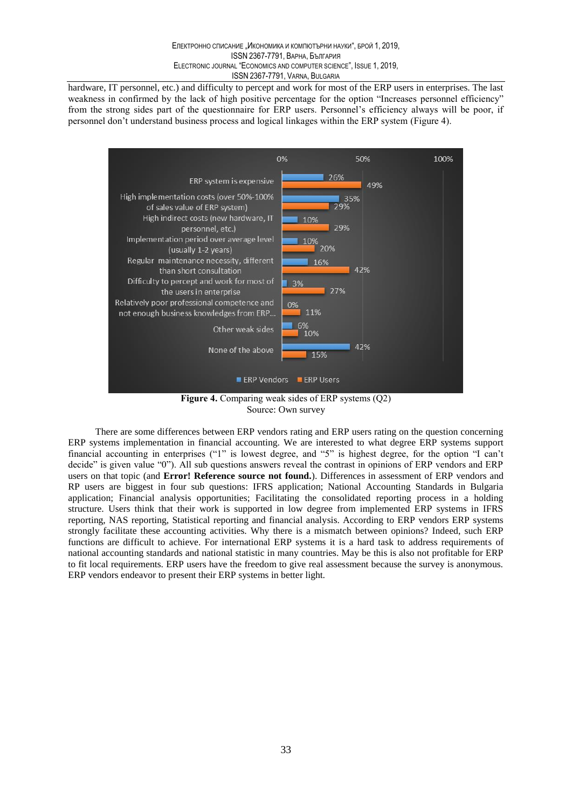hardware, IT personnel, etc.) and difficulty to percept and work for most of the ERP users in enterprises. The last weakness in confirmed by the lack of high positive percentage for the option "Increases personnel efficiency" from the strong sides part of the questionnaire for ERP users. Personnel's efficiency always will be poor, if personnel don't understand business process and logical linkages within the ERP system (Figure 4).



Source: Own survey

There are some differences between ERP vendors rating and ERP users rating on the question concerning ERP systems implementation in financial accounting. We are interested to what degree ERP systems support financial accounting in enterprises ("1" is lowest degree, and "5" is highest degree, for the option "I can't decide" is given value "0"). All sub questions answers reveal the contrast in opinions of ERP vendors and ERP users on that topic (and Error! Reference source not found.). Differences in assessment of ERP vendors and RP users are biggest in four sub questions: IFRS application; National Accounting Standards in Bulgaria application; Financial analysis opportunities; Facilitating the consolidated reporting process in a holding structure. Users think that their work is supported in low degree from implemented ERP systems in IFRS reporting, NAS reporting, Statistical reporting and financial analysis. According to ERP vendors ERP systems strongly facilitate these accounting activities. Why there is a mismatch between opinions? Indeed, such ERP functions are difficult to achieve. For international ERP systems it is a hard task to address requirements of national accounting standards and national statistic in many countries. May be this is also not profitable for ERP to fit local requirements. ERP users have the freedom to give real assessment because the survey is anonymous. ERP vendors endeavor to present their ERP systems in better light.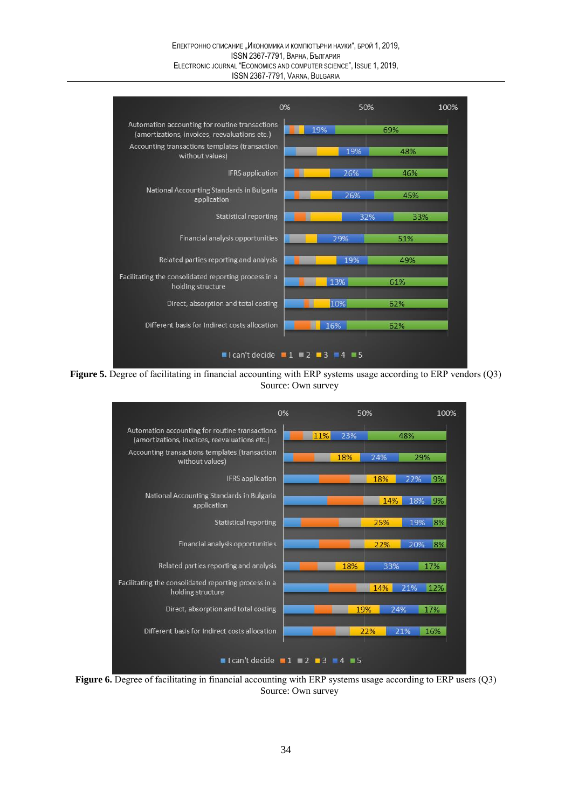#### Електронно списание "Икономика и компютърни науки", брой 1, 2019, **ISSN 2367-7791, ВАРНА, България** ELECTRONIC JOURNAL "ECONOMICS AND COMPUTER SCIENCE", ISSUE 1, 2019, ISSN 2367-7791, VARNA, BULGARIA



Figure 5. Degree of facilitating in financial accounting with ERP systems usage according to ERP vendors (Q3) Source: Own survey



Figure 6. Degree of facilitating in financial accounting with ERP systems usage according to ERP users (Q3) Source: Own survey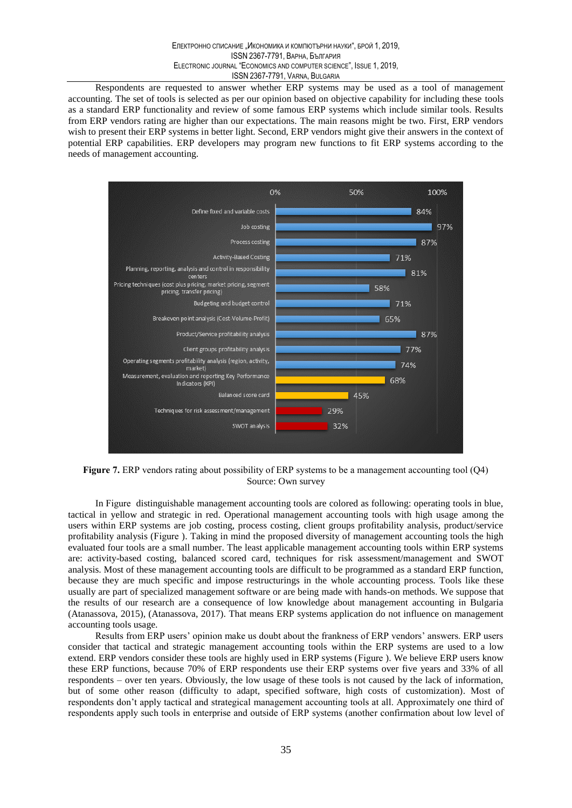Respondents are requested to answer whether ERP systems may be used as a tool of management accounting. The set of tools is selected as per our opinion based on objective capability for including these tools as a standard ERP functionality and review of some famous ERP systems which include similar tools. Results from ERP vendors rating are higher than our expectations. The main reasons might be two. First, ERP vendors wish to present their ERP systems in better light. Second, ERP vendors might give their answers in the context of potential ERP capabilities. ERP developers may program new functions to fit ERP systems according to the needs of management accounting.



Figure 7. ERP vendors rating about possibility of ERP systems to be a management accounting tool  $(Q4)$ Source: Own survey

In Figure distinguishable management accounting tools are colored as following: operating tools in blue, tactical in vellow and strategic in red. Operational management accounting tools with high usage among the users within ERP systems are job costing, process costing, client groups profitability analysis, product/service profitability analysis (Figure). Taking in mind the proposed diversity of management accounting tools the high evaluated four tools are a small number. The least applicable management accounting tools within ERP systems are: activity-based costing, balanced scored card, techniques for risk assessment/management and SWOT analysis. Most of these management accounting tools are difficult to be programmed as a standard ERP function, because they are much specific and impose restructurings in the whole accounting process. Tools like these usually are part of specialized management software or are being made with hands-on methods. We suppose that the results of our research are a consequence of low knowledge about management accounting in Bulgaria (Atanassova, 2015), (Atanassova, 2017). That means ERP systems application do not influence on management accounting tools usage.

Results from ERP users' opinion make us doubt about the frankness of ERP vendors' answers. ERP users consider that tactical and strategic management accounting tools within the ERP systems are used to a low extend. ERP vendors consider these tools are highly used in ERP systems (Figure). We believe ERP users know these ERP functions, because 70% of ERP respondents use their ERP systems over five years and 33% of all respondents – over ten years. Obviously, the low usage of these tools is not caused by the lack of information, but of some other reason (difficulty to adapt, specified software, high costs of customization). Most of respondents don't apply tactical and strategical management accounting tools at all. Approximately one third of respondents apply such tools in enterprise and outside of ERP systems (another confirmation about low level of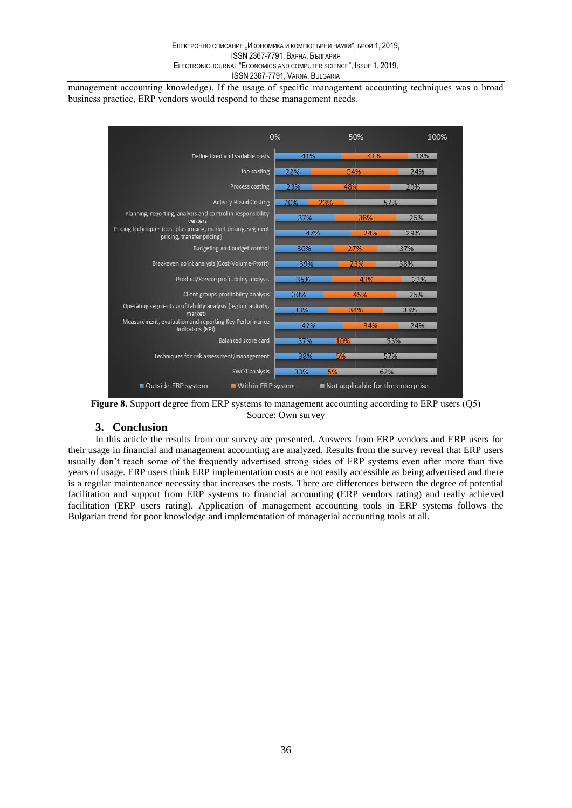management accounting knowledge). If the usage of specific management accounting techniques was a broad business practice, ERP vendors would respond to these management needs.



Figure 8. Support degree from ERP systems to management accounting according to ERP users (Q5) Source: Own survey

# 3. Conclusion

In this article the results from our survey are presented. Answers from ERP vendors and ERP users for their usage in financial and management accounting are analyzed. Results from the survey reveal that ERP users usually don't reach some of the frequently advertised strong sides of ERP systems even after more than five years of usage. ERP users think ERP implementation costs are not easily accessible as being advertised and there is a regular maintenance necessity that increases the costs. There are differences between the degree of potential facilitation and support from ERP systems to financial accounting (ERP vendors rating) and really achieved facilitation (ERP users rating). Application of management accounting tools in ERP systems follows the Bulgarian trend for poor knowledge and implementation of managerial accounting tools at all.